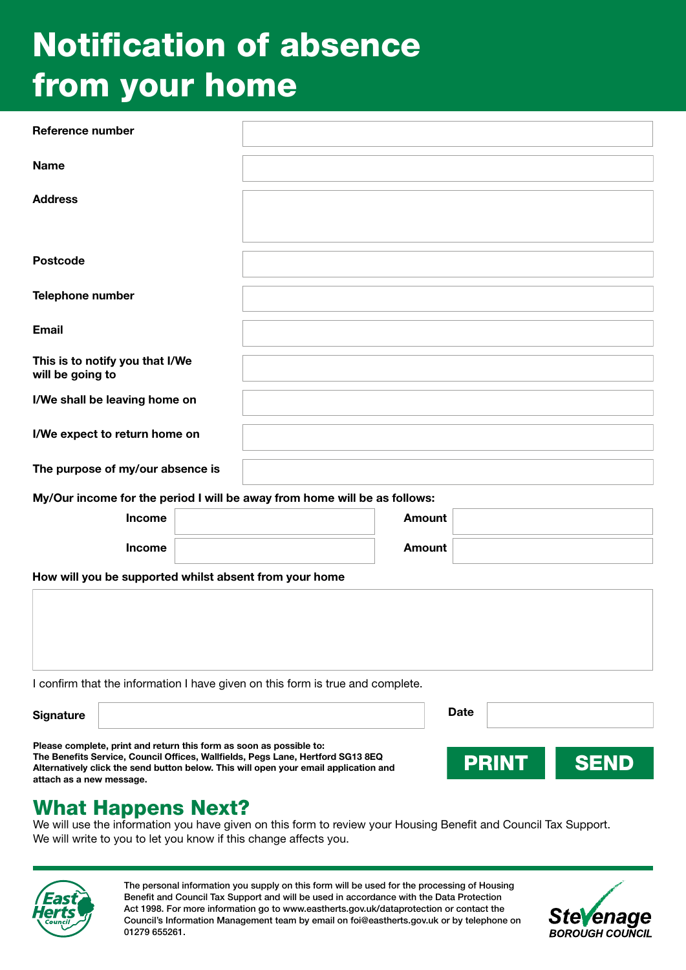# Notification of absence from your home

| <b>Reference number</b>                                                                                                                                                                                                                        |               |                             |
|------------------------------------------------------------------------------------------------------------------------------------------------------------------------------------------------------------------------------------------------|---------------|-----------------------------|
| <b>Name</b>                                                                                                                                                                                                                                    |               |                             |
| <b>Address</b>                                                                                                                                                                                                                                 |               |                             |
| <b>Postcode</b>                                                                                                                                                                                                                                |               |                             |
| Telephone number                                                                                                                                                                                                                               |               |                             |
| <b>Email</b>                                                                                                                                                                                                                                   |               |                             |
| This is to notify you that I/We<br>will be going to                                                                                                                                                                                            |               |                             |
| I/We shall be leaving home on                                                                                                                                                                                                                  |               |                             |
| I/We expect to return home on                                                                                                                                                                                                                  |               |                             |
| The purpose of my/our absence is                                                                                                                                                                                                               |               |                             |
| My/Our income for the period I will be away from home will be as follows:                                                                                                                                                                      |               |                             |
| Income                                                                                                                                                                                                                                         | <b>Amount</b> |                             |
| Income                                                                                                                                                                                                                                         | <b>Amount</b> |                             |
| How will you be supported whilst absent from your home                                                                                                                                                                                         |               |                             |
|                                                                                                                                                                                                                                                |               |                             |
| I confirm that the information I have given on this form is true and complete.                                                                                                                                                                 |               |                             |
| <b>Signature</b>                                                                                                                                                                                                                               |               | <b>Date</b>                 |
| Please complete, print and return this form as soon as possible to:<br>The Benefits Service, Council Offices, Wallfields, Pegs Lane, Hertford SG13 8EQ<br>Alternatively click the send button below. This will open your email application and |               | <b>PRINT</b><br><b>SEND</b> |

What Happens Next?

Alternatively click the send button below. This will open your email application and

We will use the information you have given on this form to review your Housing Benefit and Council Tax Support. We will write to you to let you know if this change affects you.



attach as a new message.

The personal information you supply on this form will be used for the processing of Housing Benefit and Council Tax Support and will be used in accordance with the Data Protection Act 1998. For more information go to www.eastherts.gov.uk/dataprotection or contact the Council's Information Management team by email on foi@eastherts.gov.uk or by telephone on 01279 655261.